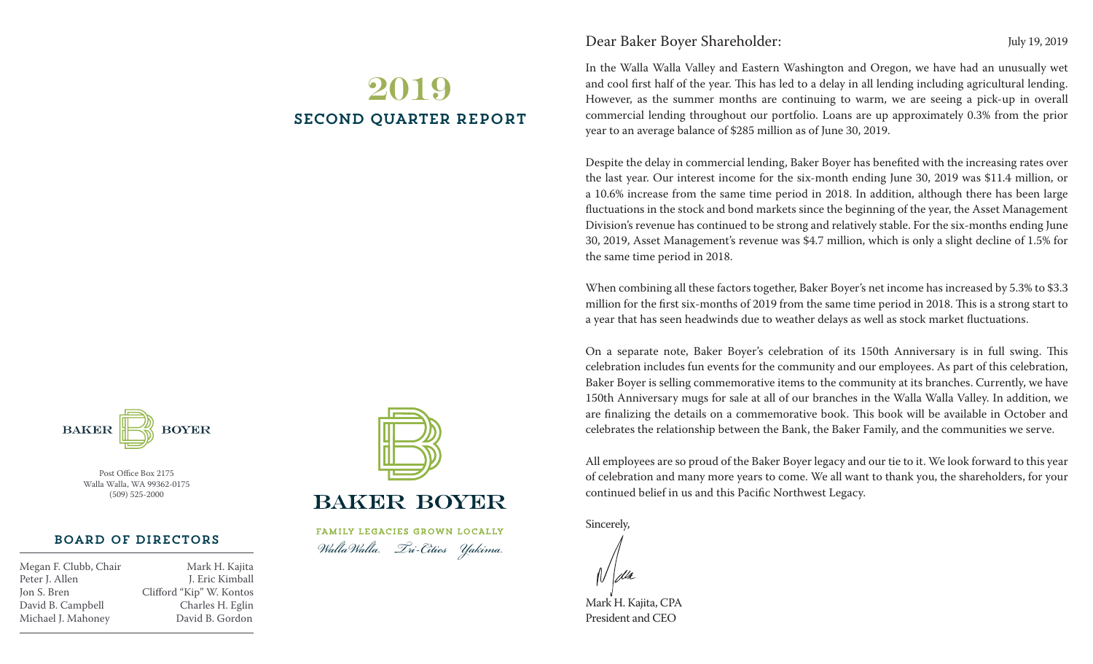# 2019 second QUARTER REPORT

**BAKER BOYER** 

> Post Office Box 2175 Walla Walla, WA 99362-0175 (509) 525-2000

## Board of Directors

Peter J. Allen J. Eric Kimball Jon S. Bren Clifford "Kip" W. Kontos David B. Campbell Charles H. Eglin Michael J. Mahoney David B. Gordon

Megan F. Clubb, Chair Mark H. Kajita



# **BAKER BOYER**

FAMILY LEGACIES GROWN LOCALLY *WallaWalla Tri-Cities Yakima*

# Dear Baker Boyer Shareholder: July 19, 2019

In the Walla Walla Valley and Eastern Washington and Oregon, we have had an unusually wet and cool first half of the year. This has led to a delay in all lending including agricultural lending. However, as the summer months are continuing to warm, we are seeing a pick-up in overall commercial lending throughout our portfolio. Loans are up approximately 0.3% from the prior year to an average balance of \$285 million as of June 30, 2019.

Despite the delay in commercial lending, Baker Boyer has benefited with the increasing rates over the last year. Our interest income for the six-month ending June 30, 2019 was \$11.4 million, or a 10.6% increase from the same time period in 2018. In addition, although there has been large fluctuations in the stock and bond markets since the beginning of the year, the Asset Management Division's revenue has continued to be strong and relatively stable. For the six-months ending June 30, 2019, Asset Management's revenue was \$4.7 million, which is only a slight decline of 1.5% for the same time period in 2018.

When combining all these factors together, Baker Boyer's net income has increased by 5.3% to \$3.3 million for the first six-months of 2019 from the same time period in 2018. This is a strong start to a year that has seen headwinds due to weather delays as well as stock market fluctuations.

On a separate note, Baker Boyer's celebration of its 150th Anniversary is in full swing. This celebration includes fun events for the community and our employees. As part of this celebration, Baker Boyer is selling commemorative items to the community at its branches. Currently, we have 150th Anniversary mugs for sale at all of our branches in the Walla Walla Valley. In addition, we are finalizing the details on a commemorative book. This book will be available in October and celebrates the relationship between the Bank, the Baker Family, and the communities we serve.

All employees are so proud of the Baker Boyer legacy and our tie to it. We look forward to this year of celebration and many more years to come. We all want to thank you, the shareholders, for your continued belief in us and this Pacific Northwest Legacy.

Sincerely,

Mark H. Kajita, CPA President and CEO